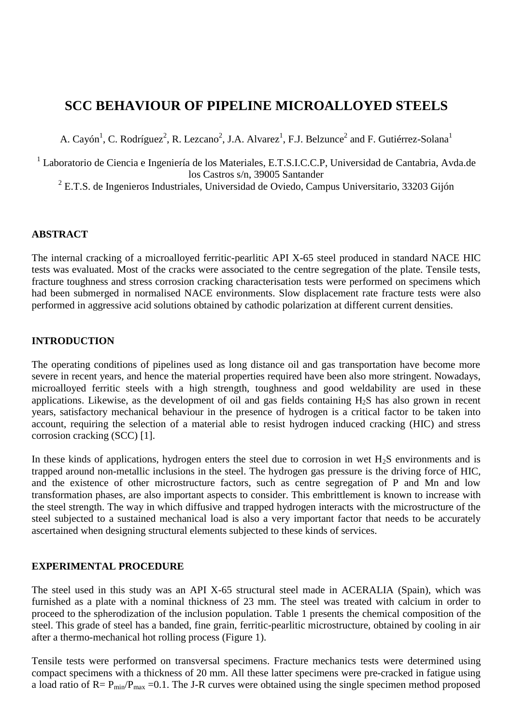# **SCC BEHAVIOUR OF PIPELINE MICROALLOYED STEELS**

A. Cayón<sup>1</sup>, C. Rodríguez<sup>2</sup>, R. Lezcano<sup>2</sup>, J.A. Alvarez<sup>1</sup>, F.J. Belzunce<sup>2</sup> and F. Gutiérrez-Solana<sup>1</sup>

<sup>1</sup> Laboratorio de Ciencia e Ingeniería de los Materiales, E.T.S.I.C.C.P, Universidad de Cantabria, Avda.de los Castros s/n, 39005 Santander

 $2$  E.T.S. de Ingenieros Industriales, Universidad de Oviedo, Campus Universitario, 33203 Gijón

## **ABSTRACT**

The internal cracking of a microalloyed ferritic-pearlitic API X-65 steel produced in standard NACE HIC tests was evaluated. Most of the cracks were associated to the centre segregation of the plate. Tensile tests, fracture toughness and stress corrosion cracking characterisation tests were performed on specimens which had been submerged in normalised NACE environments. Slow displacement rate fracture tests were also performed in aggressive acid solutions obtained by cathodic polarization at different current densities.

### **INTRODUCTION**

The operating conditions of pipelines used as long distance oil and gas transportation have become more severe in recent years, and hence the material properties required have been also more stringent. Nowadays, microalloyed ferritic steels with a high strength, toughness and good weldability are used in these applications. Likewise, as the development of oil and gas fields containing H2S has also grown in recent years, satisfactory mechanical behaviour in the presence of hydrogen is a critical factor to be taken into account, requiring the selection of a material able to resist hydrogen induced cracking (HIC) and stress corrosion cracking (SCC) [1].

In these kinds of applications, hydrogen enters the steel due to corrosion in wet  $H_2S$  environments and is trapped around non-metallic inclusions in the steel. The hydrogen gas pressure is the driving force of HIC, and the existence of other microstructure factors, such as centre segregation of P and Mn and low transformation phases, are also important aspects to consider. This embrittlement is known to increase with the steel strength. The way in which diffusive and trapped hydrogen interacts with the microstructure of the steel subjected to a sustained mechanical load is also a very important factor that needs to be accurately ascertained when designing structural elements subjected to these kinds of services.

## **EXPERIMENTAL PROCEDURE**

The steel used in this study was an API X-65 structural steel made in ACERALIA (Spain), which was furnished as a plate with a nominal thickness of 23 mm. The steel was treated with calcium in order to proceed to the spherodization of the inclusion population. Table 1 presents the chemical composition of the steel. This grade of steel has a banded, fine grain, ferritic-pearlitic microstructure, obtained by cooling in air after a thermo-mechanical hot rolling process (Figure 1).

Tensile tests were performed on transversal specimens. Fracture mechanics tests were determined using compact specimens with a thickness of 20 mm. All these latter specimens were pre-cracked in fatigue using a load ratio of  $R = P_{min}/P_{max} = 0.1$ . The J-R curves were obtained using the single specimen method proposed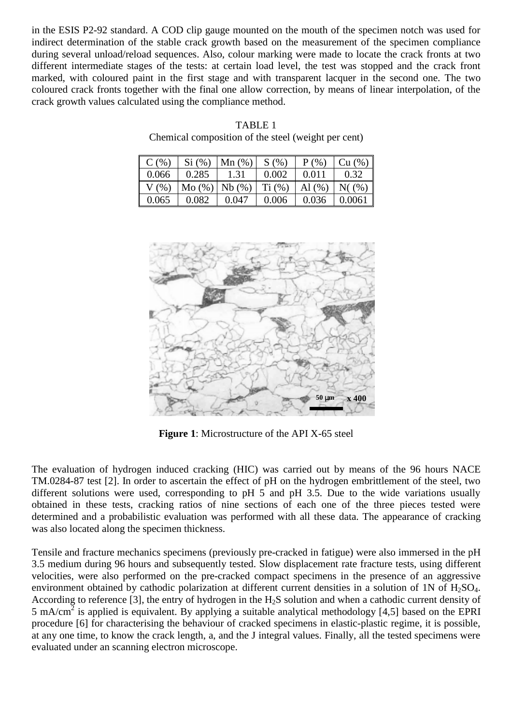in the ESIS P2-92 standard. A COD clip gauge mounted on the mouth of the specimen notch was used for indirect determination of the stable crack growth based on the measurement of the specimen compliance during several unload/reload sequences. Also, colour marking were made to locate the crack fronts at two different intermediate stages of the tests: at certain load level, the test was stopped and the crack front marked, with coloured paint in the first stage and with transparent lacquer in the second one. The two coloured crack fronts together with the final one allow correction, by means of linear interpolation, of the crack growth values calculated using the compliance method.

| $C$ (%) | Si (%) | Mn(%) | S(%)   | $P($ %)   | Cu (%)   |
|---------|--------|-------|--------|-----------|----------|
| 0.066   | 0.285  | 1.31  | 0.002  | 0.011     | 0.32     |
| $V$ (%) | Mo(%)  | Nb(%) | Ti (%) | Al $(% )$ | $N($ (%) |
| 0.065   | 0.082  | 0.047 | 0.006  | 0.036     | 0.0061   |

TABLE 1 Chemical composition of the steel (weight per cent)



**Figure 1**: Microstructure of the API X-65 steel

The evaluation of hydrogen induced cracking (HIC) was carried out by means of the 96 hours NACE TM.0284-87 test [2]. In order to ascertain the effect of pH on the hydrogen embrittlement of the steel, two different solutions were used, corresponding to pH 5 and pH 3.5. Due to the wide variations usually obtained in these tests, cracking ratios of nine sections of each one of the three pieces tested were determined and a probabilistic evaluation was performed with all these data. The appearance of cracking was also located along the specimen thickness.

Tensile and fracture mechanics specimens (previously pre-cracked in fatigue) were also immersed in the pH 3.5 medium during 96 hours and subsequently tested. Slow displacement rate fracture tests, using different velocities, were also performed on the pre-cracked compact specimens in the presence of an aggressive environment obtained by cathodic polarization at different current densities in a solution of  $1N$  of  $H_2SO_4$ . According to reference [3], the entry of hydrogen in the  $H_2S$  solution and when a cathodic current density of 5 mA/cm<sup>2</sup> is applied is equivalent. By applying a suitable analytical methodology [4,5] based on the EPRI procedure [6] for characterising the behaviour of cracked specimens in elastic-plastic regime, it is possible, at any one time, to know the crack length, a, and the J integral values. Finally, all the tested specimens were evaluated under an scanning electron microscope.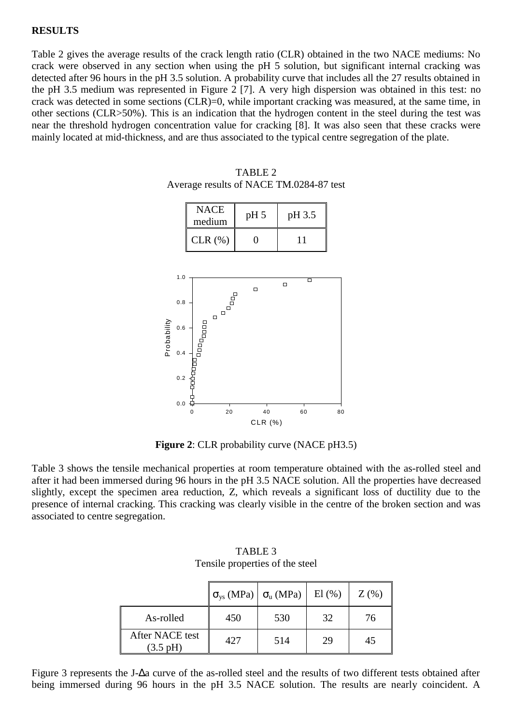#### **RESULTS**

Table 2 gives the average results of the crack length ratio (CLR) obtained in the two NACE mediums: No crack were observed in any section when using the pH 5 solution, but significant internal cracking was detected after 96 hours in the pH 3.5 solution. A probability curve that includes all the 27 results obtained in the pH 3.5 medium was represented in Figure 2 [7]. A very high dispersion was obtained in this test: no crack was detected in some sections (CLR)=0, while important cracking was measured, at the same time, in other sections (CLR>50%). This is an indication that the hydrogen content in the steel during the test was near the threshold hydrogen concentration value for cracking [8]. It was also seen that these cracks were mainly located at mid-thickness, and are thus associated to the typical centre segregation of the plate.



TABLE 2 Average results of NACE TM.0284-87 test

**Figure 2**: CLR probability curve (NACE pH3.5)

Table 3 shows the tensile mechanical properties at room temperature obtained with the as-rolled steel and after it had been immersed during 96 hours in the pH 3.5 NACE solution. All the properties have decreased slightly, except the specimen area reduction, Z, which reveals a significant loss of ductility due to the presence of internal cracking. This cracking was clearly visible in the centre of the broken section and was associated to centre segregation.

|                                       | Tensite properties of the steel |                  |              |         |
|---------------------------------------|---------------------------------|------------------|--------------|---------|
|                                       | $\sigma_{\rm vs}$ (MPa)         | $\sigma_u$ (MPa) | $El$ $(\% )$ | $Z(\%)$ |
| As-rolled                             | 450                             | 530              | 32           | 76      |
| After NACE test<br>$(3.5 \text{ pH})$ | 427                             | 514              | 29           | 45      |

TABLE 3 Tensile properties of the steel

Figure 3 represents the J-∆a curve of the as-rolled steel and the results of two different tests obtained after being immersed during 96 hours in the pH 3.5 NACE solution. The results are nearly coincident. A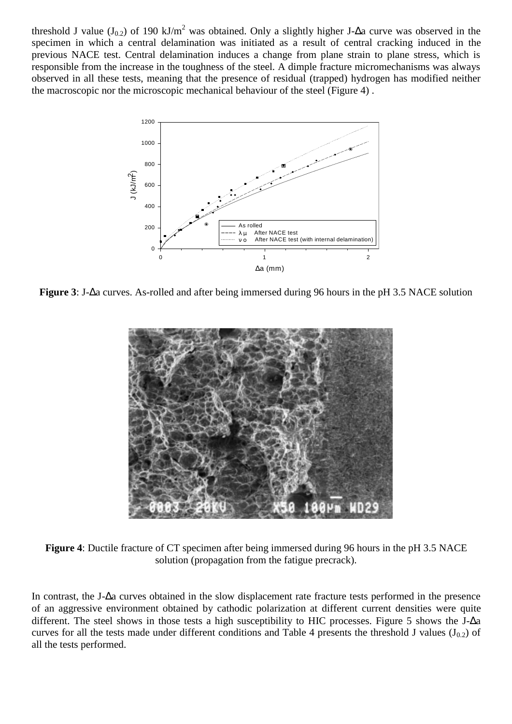threshold J value (J<sub>0.2</sub>) of 190 kJ/m<sup>2</sup> was obtained. Only a slightly higher J-∆a curve was observed in the specimen in which a central delamination was initiated as a result of central cracking induced in the previous NACE test. Central delamination induces a change from plane strain to plane stress, which is responsible from the increase in the toughness of the steel. A dimple fracture micromechanisms was always observed in all these tests, meaning that the presence of residual (trapped) hydrogen has modified neither the macroscopic nor the microscopic mechanical behaviour of the steel (Figure 4) .



**Figure 3**: J-∆a curves. As-rolled and after being immersed during 96 hours in the pH 3.5 NACE solution



**Figure 4**: Ductile fracture of CT specimen after being immersed during 96 hours in the pH 3.5 NACE solution (propagation from the fatigue precrack).

In contrast, the J-∆a curves obtained in the slow displacement rate fracture tests performed in the presence of an aggressive environment obtained by cathodic polarization at different current densities were quite different. The steel shows in those tests a high susceptibility to HIC processes. Figure 5 shows the J-∆a curves for all the tests made under different conditions and Table 4 presents the threshold J values  $(J_{0.2})$  of all the tests performed.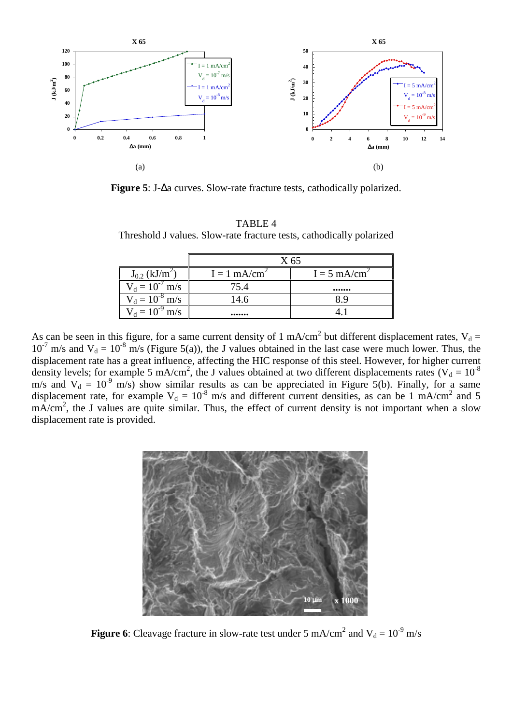

**Figure 5**: J-∆a curves. Slow-rate fracture tests, cathodically polarized.

| Threshold J values. Slow-rate fracture lests, cathodically polarized |                                |                            |                            |  |  |  |  |  |
|----------------------------------------------------------------------|--------------------------------|----------------------------|----------------------------|--|--|--|--|--|
|                                                                      |                                | X 65                       |                            |  |  |  |  |  |
|                                                                      | $J_{0.2}$ (kJ/m <sup>2</sup> ) | $I = 1$ mA/cm <sup>2</sup> | $I = 5$ mA/cm <sup>2</sup> |  |  |  |  |  |
|                                                                      | $V_d = 10^{-7}$ m/s            | 75.4                       |                            |  |  |  |  |  |
|                                                                      | $V_d = 10^{-8}$ m/s            | 14.6                       | 89                         |  |  |  |  |  |
|                                                                      | $V_d = 10^{-9}$ m/s            |                            |                            |  |  |  |  |  |

TABLE 4 Threshold J values. Slow-rate fracture tests, cathodically polarized

As can be seen in this figure, for a same current density of 1 mA/cm<sup>2</sup> but different displacement rates,  $V_d$  =  $10^{-7}$  m/s and  $V_d = 10^{-8}$  m/s (Figure 5(a)), the J values obtained in the last case were much lower. Thus, the displacement rate has a great influence, affecting the HIC response of this steel. However, for higher current density levels; for example 5 mA/cm<sup>2</sup>, the J values obtained at two different displacements rates ( $V_d = 10^{-8}$ ) m/s and  $V_d = 10^{-9}$  m/s) show similar results as can be appreciated in Figure 5(b). Finally, for a same displacement rate, for example  $V_d = 10^{-8}$  m/s and different current densities, as can be 1 mA/cm<sup>2</sup> and 5  $mA/cm<sup>2</sup>$ , the J values are quite similar. Thus, the effect of current density is not important when a slow displacement rate is provided.



**Figure 6**: Cleavage fracture in slow-rate test under 5 mA/cm<sup>2</sup> and  $V_d = 10^{-9}$  m/s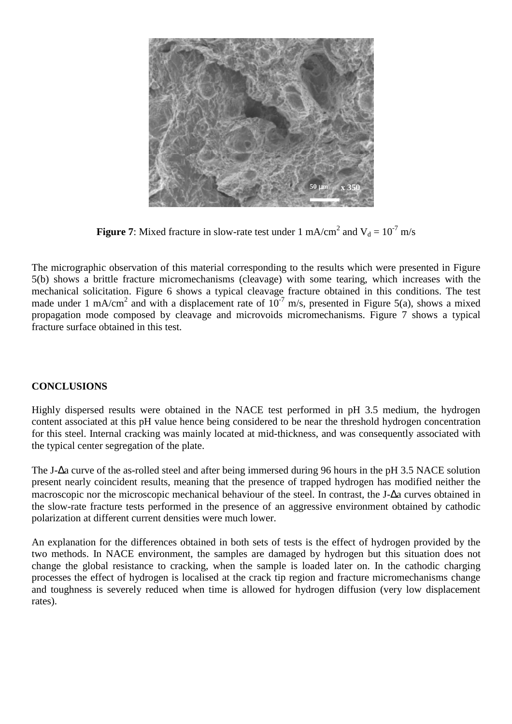

**Figure 7**: Mixed fracture in slow-rate test under 1 mA/cm<sup>2</sup> and  $V_d = 10^{-7}$  m/s

The micrographic observation of this material corresponding to the results which were presented in Figure 5(b) shows a brittle fracture micromechanisms (cleavage) with some tearing, which increases with the mechanical solicitation. Figure 6 shows a typical cleavage fracture obtained in this conditions. The test made under 1 mA/cm<sup>2</sup> and with a displacement rate of  $10^{-7}$  m/s, presented in Figure 5(a), shows a mixed propagation mode composed by cleavage and microvoids micromechanisms. Figure 7 shows a typical fracture surface obtained in this test.

## **CONCLUSIONS**

Highly dispersed results were obtained in the NACE test performed in pH 3.5 medium, the hydrogen content associated at this pH value hence being considered to be near the threshold hydrogen concentration for this steel. Internal cracking was mainly located at mid-thickness, and was consequently associated with the typical center segregation of the plate.

The J-∆a curve of the as-rolled steel and after being immersed during 96 hours in the pH 3.5 NACE solution present nearly coincident results, meaning that the presence of trapped hydrogen has modified neither the macroscopic nor the microscopic mechanical behaviour of the steel. In contrast, the J-∆a curves obtained in the slow-rate fracture tests performed in the presence of an aggressive environment obtained by cathodic polarization at different current densities were much lower.

An explanation for the differences obtained in both sets of tests is the effect of hydrogen provided by the two methods. In NACE environment, the samples are damaged by hydrogen but this situation does not change the global resistance to cracking, when the sample is loaded later on. In the cathodic charging processes the effect of hydrogen is localised at the crack tip region and fracture micromechanisms change and toughness is severely reduced when time is allowed for hydrogen diffusion (very low displacement rates).